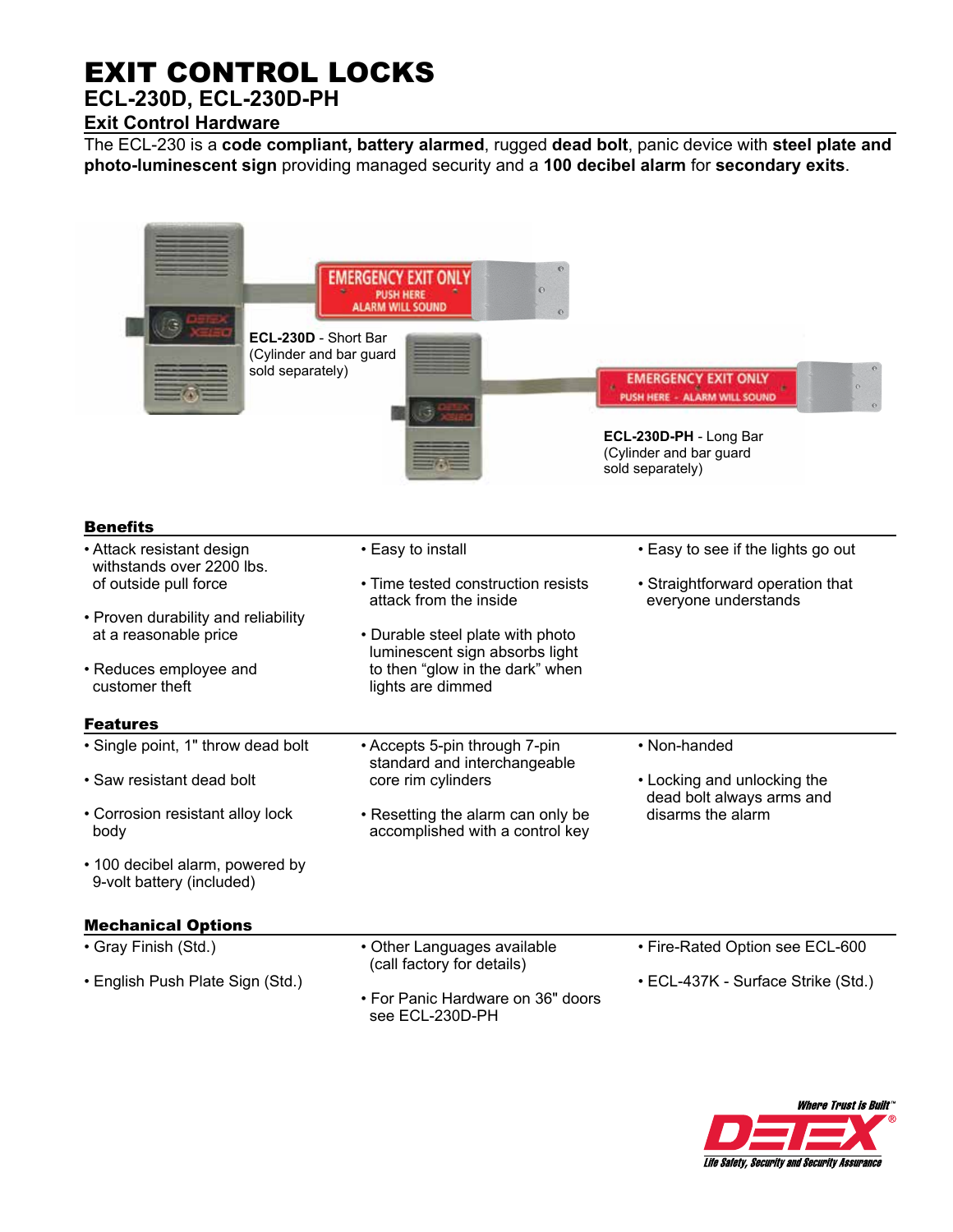## EXIT CONTROL LOCKS

## **ECL-230D, ECL-230D-PH Exit Control Hardware**

The ECL-230 is a **code compliant, battery alarmed**, rugged **dead bolt**, panic device with **steel plate and photo-luminescent sign** providing managed security and a **100 decibel alarm** for **secondary exits**.